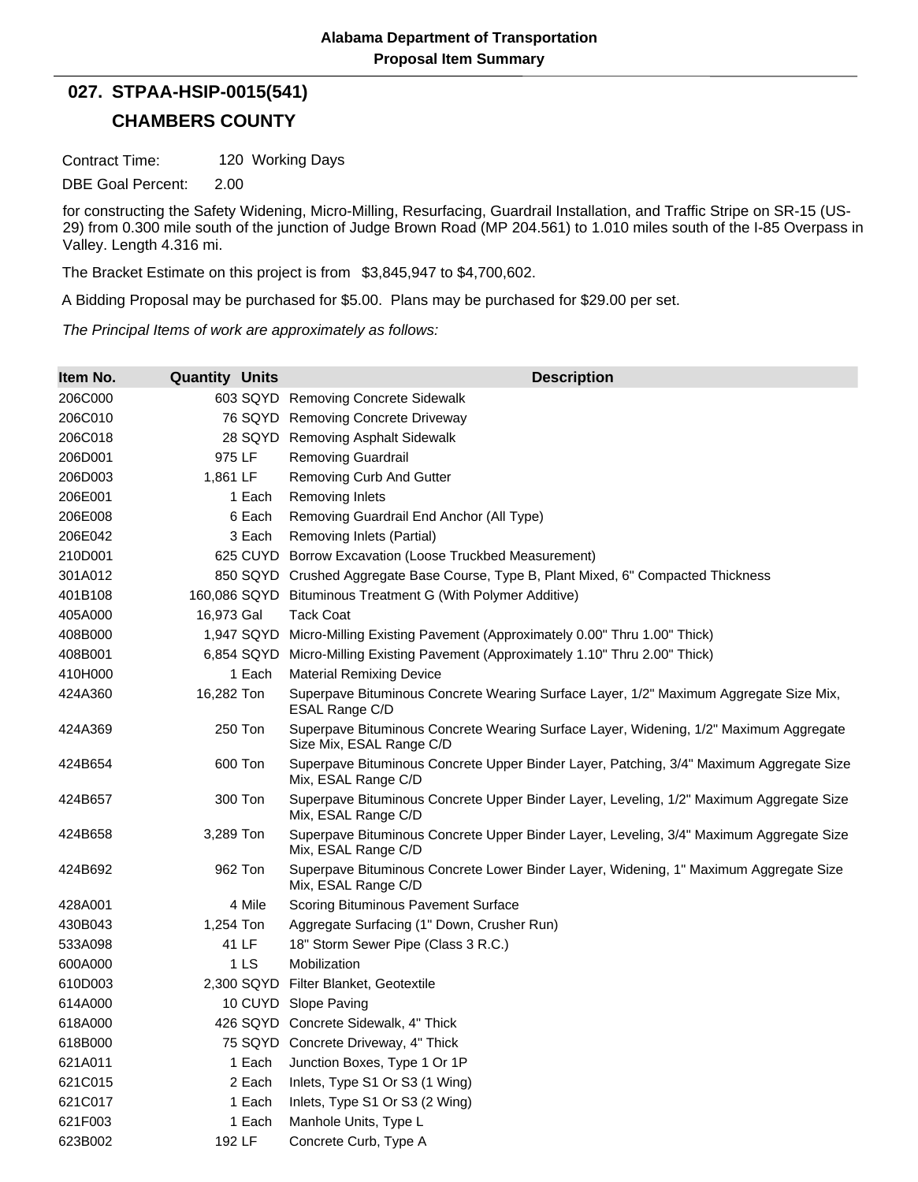## **CHAMBERS COUNTY 027. STPAA-HSIP-0015(541)**

Contract Time: 120 Working Days

DBE Goal Percent: 2.00

for constructing the Safety Widening, Micro-Milling, Resurfacing, Guardrail Installation, and Traffic Stripe on SR-15 (US-29) from 0.300 mile south of the junction of Judge Brown Road (MP 204.561) to 1.010 miles south of the I-85 Overpass in Valley. Length 4.316 mi.

The Bracket Estimate on this project is from \$3,845,947 to \$4,700,602.

A Bidding Proposal may be purchased for \$5.00. Plans may be purchased for \$29.00 per set.

*The Principal Items of work are approximately as follows:*

| Item No. | <b>Quantity Units</b> | <b>Description</b>                                                                                                |
|----------|-----------------------|-------------------------------------------------------------------------------------------------------------------|
| 206C000  |                       | 603 SQYD Removing Concrete Sidewalk                                                                               |
| 206C010  |                       | 76 SQYD Removing Concrete Driveway                                                                                |
| 206C018  |                       | 28 SQYD Removing Asphalt Sidewalk                                                                                 |
| 206D001  | 975 LF                | <b>Removing Guardrail</b>                                                                                         |
| 206D003  | 1,861 LF              | Removing Curb And Gutter                                                                                          |
| 206E001  | 1 Each                | <b>Removing Inlets</b>                                                                                            |
| 206E008  | 6 Each                | Removing Guardrail End Anchor (All Type)                                                                          |
| 206E042  | 3 Each                | Removing Inlets (Partial)                                                                                         |
| 210D001  |                       | 625 CUYD Borrow Excavation (Loose Truckbed Measurement)                                                           |
| 301A012  |                       | 850 SQYD Crushed Aggregate Base Course, Type B, Plant Mixed, 6" Compacted Thickness                               |
| 401B108  |                       | 160,086 SQYD Bituminous Treatment G (With Polymer Additive)                                                       |
| 405A000  | 16,973 Gal            | <b>Tack Coat</b>                                                                                                  |
| 408B000  |                       | 1,947 SQYD Micro-Milling Existing Pavement (Approximately 0.00" Thru 1.00" Thick)                                 |
| 408B001  | 6,854 SQYD            | Micro-Milling Existing Pavement (Approximately 1.10" Thru 2.00" Thick)                                            |
| 410H000  | 1 Each                | <b>Material Remixing Device</b>                                                                                   |
| 424A360  | 16,282 Ton            | Superpave Bituminous Concrete Wearing Surface Layer, 1/2" Maximum Aggregate Size Mix,<br>ESAL Range C/D           |
| 424A369  | 250 Ton               | Superpave Bituminous Concrete Wearing Surface Layer, Widening, 1/2" Maximum Aggregate<br>Size Mix, ESAL Range C/D |
| 424B654  | 600 Ton               | Superpave Bituminous Concrete Upper Binder Layer, Patching, 3/4" Maximum Aggregate Size<br>Mix, ESAL Range C/D    |
| 424B657  | 300 Ton               | Superpave Bituminous Concrete Upper Binder Layer, Leveling, 1/2" Maximum Aggregate Size<br>Mix, ESAL Range C/D    |
| 424B658  | 3,289 Ton             | Superpave Bituminous Concrete Upper Binder Layer, Leveling, 3/4" Maximum Aggregate Size<br>Mix, ESAL Range C/D    |
| 424B692  | 962 Ton               | Superpave Bituminous Concrete Lower Binder Layer, Widening, 1" Maximum Aggregate Size<br>Mix, ESAL Range C/D      |
| 428A001  | 4 Mile                | Scoring Bituminous Pavement Surface                                                                               |
| 430B043  | 1,254 Ton             | Aggregate Surfacing (1" Down, Crusher Run)                                                                        |
| 533A098  | 41 LF                 | 18" Storm Sewer Pipe (Class 3 R.C.)                                                                               |
| 600A000  | 1 <sub>LS</sub>       | Mobilization                                                                                                      |
| 610D003  | 2,300 SQYD            | Filter Blanket, Geotextile                                                                                        |
| 614A000  |                       | 10 CUYD Slope Paving                                                                                              |
| 618A000  |                       | 426 SQYD Concrete Sidewalk, 4" Thick                                                                              |
| 618B000  |                       | 75 SQYD Concrete Driveway, 4" Thick                                                                               |
| 621A011  | 1 Each                | Junction Boxes, Type 1 Or 1P                                                                                      |
| 621C015  | 2 Each                | Inlets, Type S1 Or S3 (1 Wing)                                                                                    |
| 621C017  | 1 Each                | Inlets, Type S1 Or S3 (2 Wing)                                                                                    |
| 621F003  | 1 Each                | Manhole Units, Type L                                                                                             |
| 623B002  | 192 LF                | Concrete Curb, Type A                                                                                             |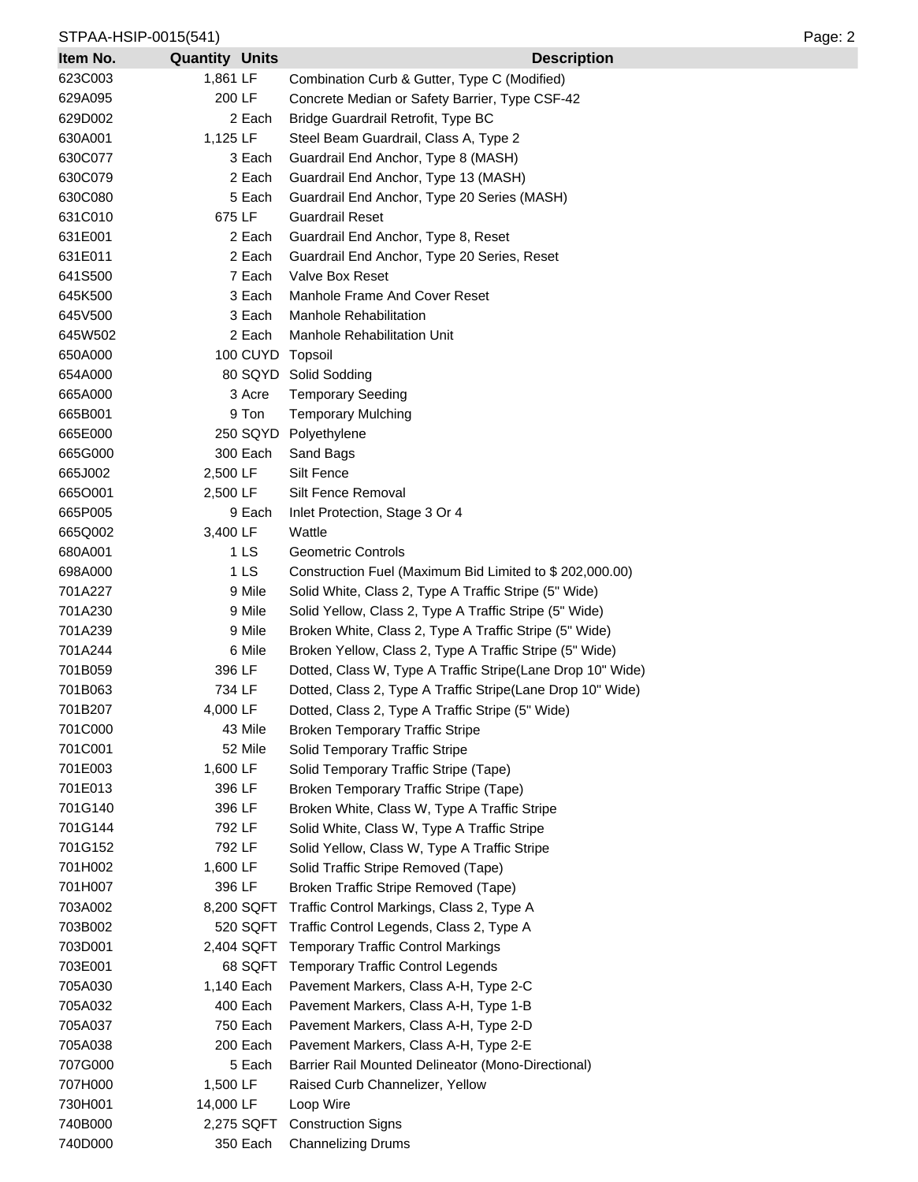## STPAA-HSIP-0015(541) Page: 2

| Item No. | <b>Quantity Units</b> |            | <b>Description</b>                                         |
|----------|-----------------------|------------|------------------------------------------------------------|
| 623C003  | 1,861 LF              |            | Combination Curb & Gutter, Type C (Modified)               |
| 629A095  | 200 LF                |            | Concrete Median or Safety Barrier, Type CSF-42             |
| 629D002  |                       | 2 Each     | Bridge Guardrail Retrofit, Type BC                         |
| 630A001  | 1,125 LF              |            | Steel Beam Guardrail, Class A, Type 2                      |
| 630C077  |                       | 3 Each     | Guardrail End Anchor, Type 8 (MASH)                        |
| 630C079  |                       | 2 Each     | Guardrail End Anchor, Type 13 (MASH)                       |
| 630C080  |                       | 5 Each     | Guardrail End Anchor, Type 20 Series (MASH)                |
| 631C010  | 675 LF                |            | <b>Guardrail Reset</b>                                     |
| 631E001  |                       | 2 Each     | Guardrail End Anchor, Type 8, Reset                        |
| 631E011  |                       | 2 Each     | Guardrail End Anchor, Type 20 Series, Reset                |
| 641S500  |                       | 7 Each     | Valve Box Reset                                            |
| 645K500  |                       | 3 Each     | Manhole Frame And Cover Reset                              |
| 645V500  |                       | 3 Each     | <b>Manhole Rehabilitation</b>                              |
| 645W502  |                       | 2 Each     | Manhole Rehabilitation Unit                                |
| 650A000  |                       |            | 100 CUYD Topsoil                                           |
| 654A000  |                       |            | 80 SQYD Solid Sodding                                      |
| 665A000  |                       | 3 Acre     | <b>Temporary Seeding</b>                                   |
| 665B001  |                       | 9 Ton      | <b>Temporary Mulching</b>                                  |
| 665E000  |                       | 250 SQYD   | Polyethylene                                               |
| 665G000  |                       | 300 Each   | Sand Bags                                                  |
| 665J002  | 2,500 LF              |            | Silt Fence                                                 |
| 6650001  | 2,500 LF              |            | Silt Fence Removal                                         |
| 665P005  |                       | 9 Each     | Inlet Protection, Stage 3 Or 4                             |
| 665Q002  | 3,400 LF              |            | Wattle                                                     |
| 680A001  |                       | 1 LS       | Geometric Controls                                         |
| 698A000  |                       | 1 LS       | Construction Fuel (Maximum Bid Limited to \$202,000.00)    |
| 701A227  |                       | 9 Mile     | Solid White, Class 2, Type A Traffic Stripe (5" Wide)      |
| 701A230  |                       | 9 Mile     | Solid Yellow, Class 2, Type A Traffic Stripe (5" Wide)     |
| 701A239  |                       | 9 Mile     | Broken White, Class 2, Type A Traffic Stripe (5" Wide)     |
| 701A244  |                       | 6 Mile     | Broken Yellow, Class 2, Type A Traffic Stripe (5" Wide)    |
| 701B059  | 396 LF                |            | Dotted, Class W, Type A Traffic Stripe(Lane Drop 10" Wide) |
| 701B063  | 734 LF                |            | Dotted, Class 2, Type A Traffic Stripe(Lane Drop 10" Wide) |
| 701B207  | 4,000 LF              |            | Dotted, Class 2, Type A Traffic Stripe (5" Wide)           |
| 701C000  |                       | 43 Mile    | <b>Broken Temporary Traffic Stripe</b>                     |
| 701C001  |                       | 52 Mile    | Solid Temporary Traffic Stripe                             |
| 701E003  | 1,600 LF              |            | Solid Temporary Traffic Stripe (Tape)                      |
| 701E013  | 396 LF                |            | Broken Temporary Traffic Stripe (Tape)                     |
| 701G140  | 396 LF                |            | Broken White, Class W, Type A Traffic Stripe               |
| 701G144  | 792 LF                |            | Solid White, Class W, Type A Traffic Stripe                |
| 701G152  | 792 LF                |            | Solid Yellow, Class W, Type A Traffic Stripe               |
| 701H002  | 1,600 LF              |            | Solid Traffic Stripe Removed (Tape)                        |
| 701H007  | 396 LF                |            | Broken Traffic Stripe Removed (Tape)                       |
| 703A002  |                       | 8,200 SQFT | Traffic Control Markings, Class 2, Type A                  |
| 703B002  |                       | 520 SQFT   | Traffic Control Legends, Class 2, Type A                   |
| 703D001  |                       | 2,404 SQFT | <b>Temporary Traffic Control Markings</b>                  |
| 703E001  |                       | 68 SQFT    | <b>Temporary Traffic Control Legends</b>                   |
| 705A030  |                       | 1,140 Each | Pavement Markers, Class A-H, Type 2-C                      |
| 705A032  |                       | 400 Each   | Pavement Markers, Class A-H, Type 1-B                      |
| 705A037  |                       | 750 Each   | Pavement Markers, Class A-H, Type 2-D                      |
| 705A038  |                       | 200 Each   | Pavement Markers, Class A-H, Type 2-E                      |
| 707G000  |                       | 5 Each     | Barrier Rail Mounted Delineator (Mono-Directional)         |
| 707H000  | 1,500 LF              |            | Raised Curb Channelizer, Yellow                            |
| 730H001  | 14,000 LF             |            | Loop Wire                                                  |
| 740B000  |                       | 2,275 SQFT | <b>Construction Signs</b>                                  |
| 740D000  |                       | 350 Each   | <b>Channelizing Drums</b>                                  |